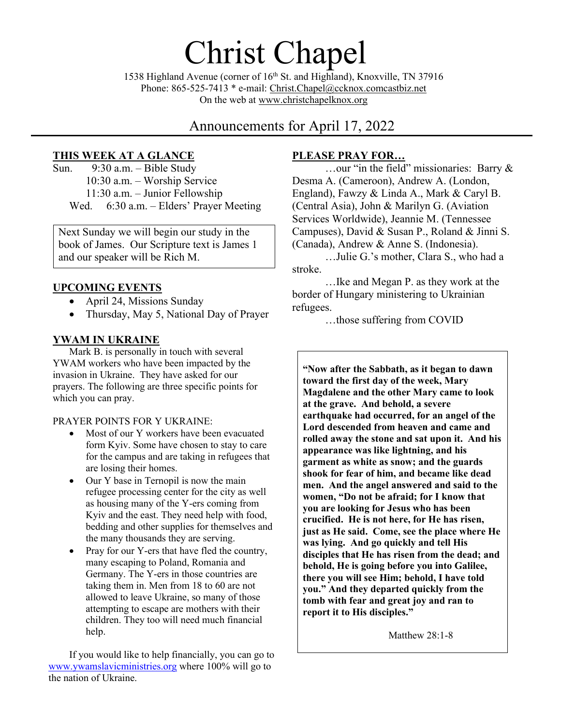1538 Highland Avenue (corner of 16<sup>th</sup> St. and Highland), Knoxville, TN 37916 Phone: 865-525-7413 \* e-mail: [Christ.Chapel@ccknox.comcastbiz.net](mailto:Christ.Chapel@ccknox.comcastbiz.net) On the web at [www.christchapelknox.org](http://www.christchapelknox.org/)

Christ Chapel

# Announcements for April 17, 2022

## **THIS WEEK AT A GLANCE**

Sun. 9:30 a.m. – Bible Study 10:30 a.m. – Worship Service 11:30 a.m. – Junior Fellowship Wed. 6:30 a.m. – Elders' Prayer Meeting

Next Sunday we will begin our study in the book of James. Our Scripture text is James 1 and our speaker will be Rich M.

## **UPCOMING EVENTS**

- April 24, Missions Sunday
- Thursday, May 5, National Day of Prayer

## **YWAM IN UKRAINE**

Mark B. is personally in touch with several YWAM workers who have been impacted by the invasion in Ukraine. They have asked for our prayers. The following are three specific points for which you can pray.

#### PRAYER POINTS FOR Y UKRAINE:

- Most of our Y workers have been evacuated form Kyiv. Some have chosen to stay to care for the campus and are taking in refugees that are losing their homes.
- Our Y base in Ternopil is now the main refugee processing center for the city as well as housing many of the Y-ers coming from Kyiv and the east. They need help with food, bedding and other supplies for themselves and the many thousands they are serving.
- Pray for our Y-ers that have fled the country, many escaping to Poland, Romania and Germany. The Y-ers in those countries are taking them in. Men from 18 to 60 are not allowed to leave Ukraine, so many of those attempting to escape are mothers with their children. They too will need much financial help.

If you would like to help financially, you can go to [www.ywamslavicministries.org](http://www.ywamslavicministries.org/) where 100% will go to the nation of Ukraine.

## **PLEASE PRAY FOR…**

…our "in the field" missionaries: Barry & Desma A. (Cameroon), Andrew A. (London, England), Fawzy & Linda A., Mark & Caryl B. (Central Asia), John & Marilyn G. (Aviation Services Worldwide), Jeannie M. (Tennessee Campuses), David & Susan P., Roland & Jinni S. (Canada), Andrew & Anne S. (Indonesia).

…Julie G.'s mother, Clara S., who had a stroke.

…Ike and Megan P. as they work at the border of Hungary ministering to Ukrainian refugees.

…those suffering from COVID

**"Now after the Sabbath, as it began to dawn toward the first day of the week, Mary Magdalene and the other Mary came to look at the grave. And behold, a severe earthquake had occurred, for an angel of the Lord descended from heaven and came and rolled away the stone and sat upon it. And his appearance was like lightning, and his garment as white as snow; and the guards shook for fear of him, and became like dead men. And the angel answered and said to the women, "Do not be afraid; for I know that you are looking for Jesus who has been crucified. He is not here, for He has risen, just as He said. Come, see the place where He was lying. And go quickly and tell His disciples that He has risen from the dead; and behold, He is going before you into Galilee, there you will see Him; behold, I have told you." And they departed quickly from the tomb with fear and great joy and ran to report it to His disciples."**

Matthew 28:1-8